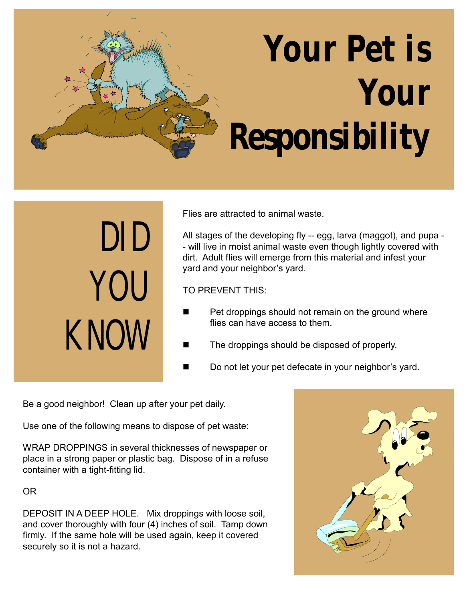## **Your Pet is Your Responsibility**

DID YOU KNOW Flies are attracted to animal waste.

All stages of the developing fly -- egg, larva (maggot), and pupa - - will live in moist animal waste even though lightly covered with dirt. Adult flies will emerge from this material and infest your yard and your neighbor's yard.

TO PREVENT THIS:

- Pet droppings should not remain on the ground where flies can have access to them.
- The droppings should be disposed of properly.
- Do not let your pet defecate in your neighbor's yard.

Be a good neighbor! Clean up after your pet daily.

Use one of the following means to dispose of pet waste:

WRAP DROPPINGS in several thicknesses of newspaper or place in a strong paper or plastic bag. Dispose of in a refuse container with a tight-fitting lid.

OR

DEPOSIT IN A DEEP HOLE. Mix droppings with loose soil, and cover thoroughly with four (4) inches of soil. Tamp down firmly. If the same hole will be used again, keep it covered securely so it is not a hazard.